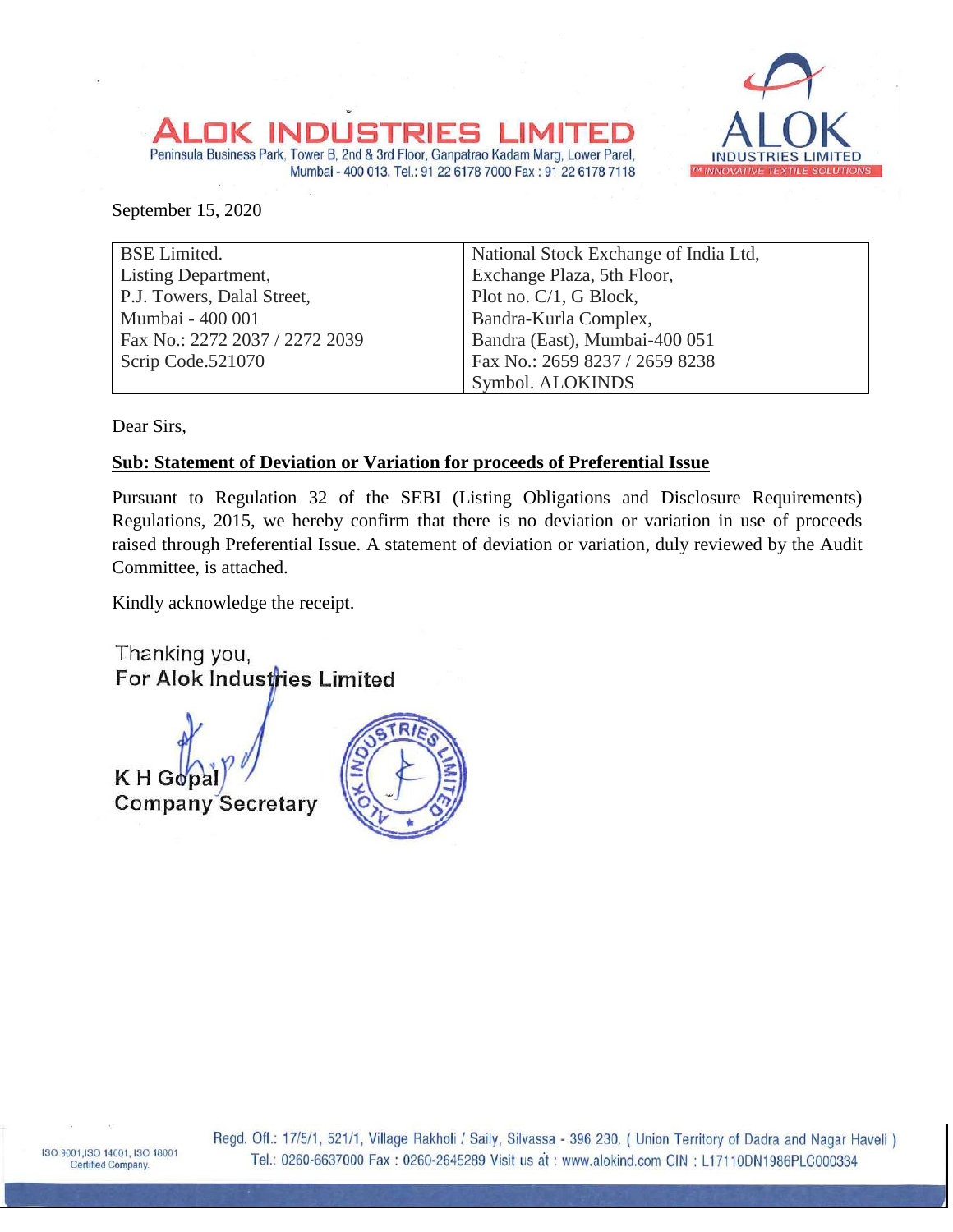## Peninsula Business Park, Tower B, 2nd & 3rd Floor, Ganpatrao Kadam Marg, Lower Parel, Mumbai - 400 013. Tel.: 91 22 6178 7000 Fax : 91 22 6178 7118



September 15, 2020

| <b>BSE</b> Limited.            | National Stock Exchange of India Ltd, |
|--------------------------------|---------------------------------------|
| Listing Department,            | Exchange Plaza, 5th Floor,            |
| P.J. Towers, Dalal Street,     | Plot no. C/1, G Block,                |
| Mumbai - 400 001               | Bandra-Kurla Complex,                 |
| Fax No.: 2272 2037 / 2272 2039 | Bandra (East), Mumbai-400 051         |
| Scrip Code.521070              | Fax No.: 2659 8237 / 2659 8238        |
|                                | Symbol. ALOKINDS                      |

Dear Sirs,

## **Sub: Statement of Deviation or Variation for proceeds of Preferential Issue**

Pursuant to Regulation 32 of the SEBI (Listing Obligations and Disclosure Requirements) Regulations, 2015, we hereby confirm that there is no deviation or variation in use of proceeds raised through Preferential Issue. A statement of deviation or variation, duly reviewed by the Audit Committee, is attached.

Kindly acknowledge the receipt.

Thanking you, For Alok Industries Limited

K H Go **Company Secretary**